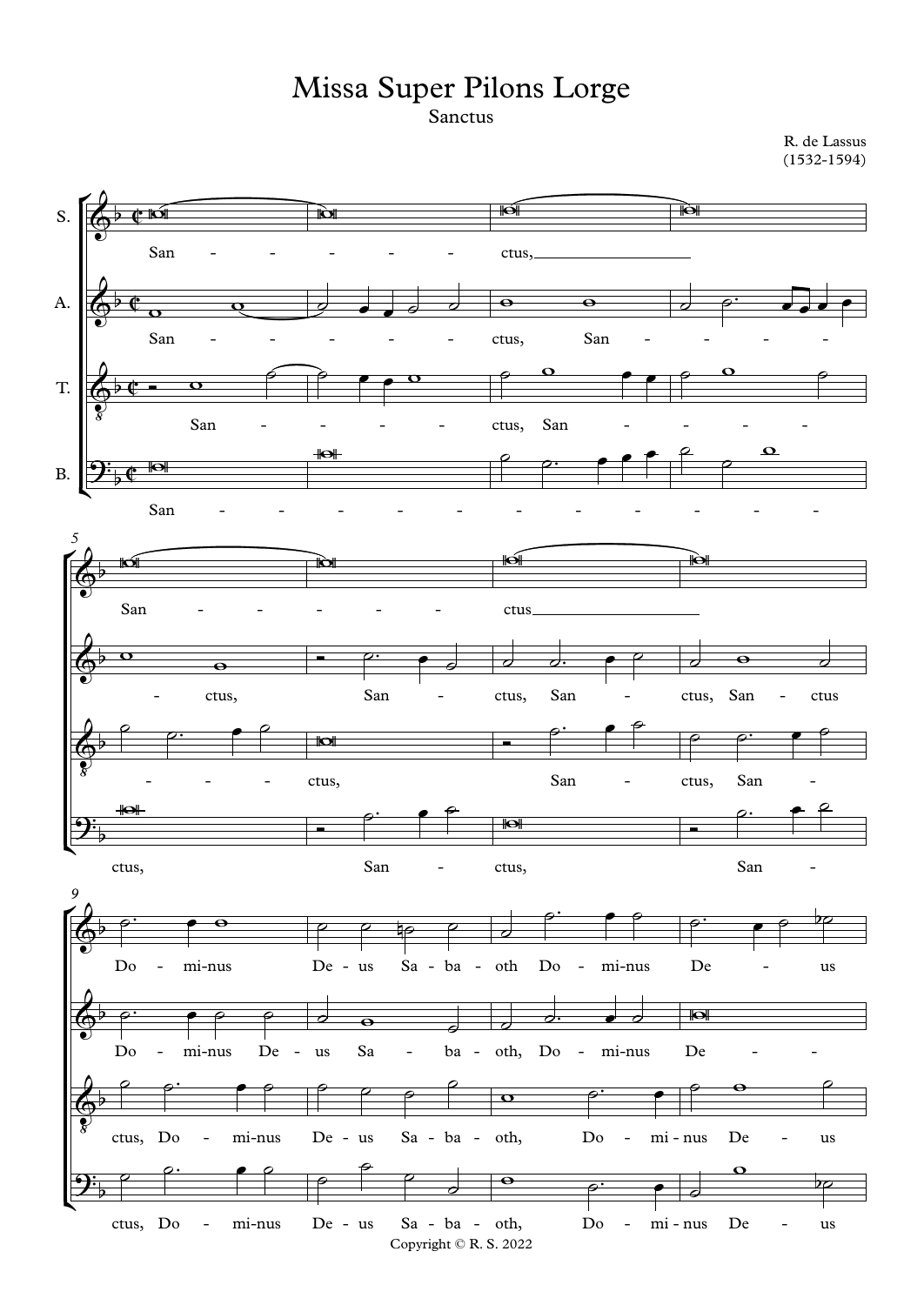## Missa Super Pilons Lorge

Sanctus

R. de Lassus (1532-1594)

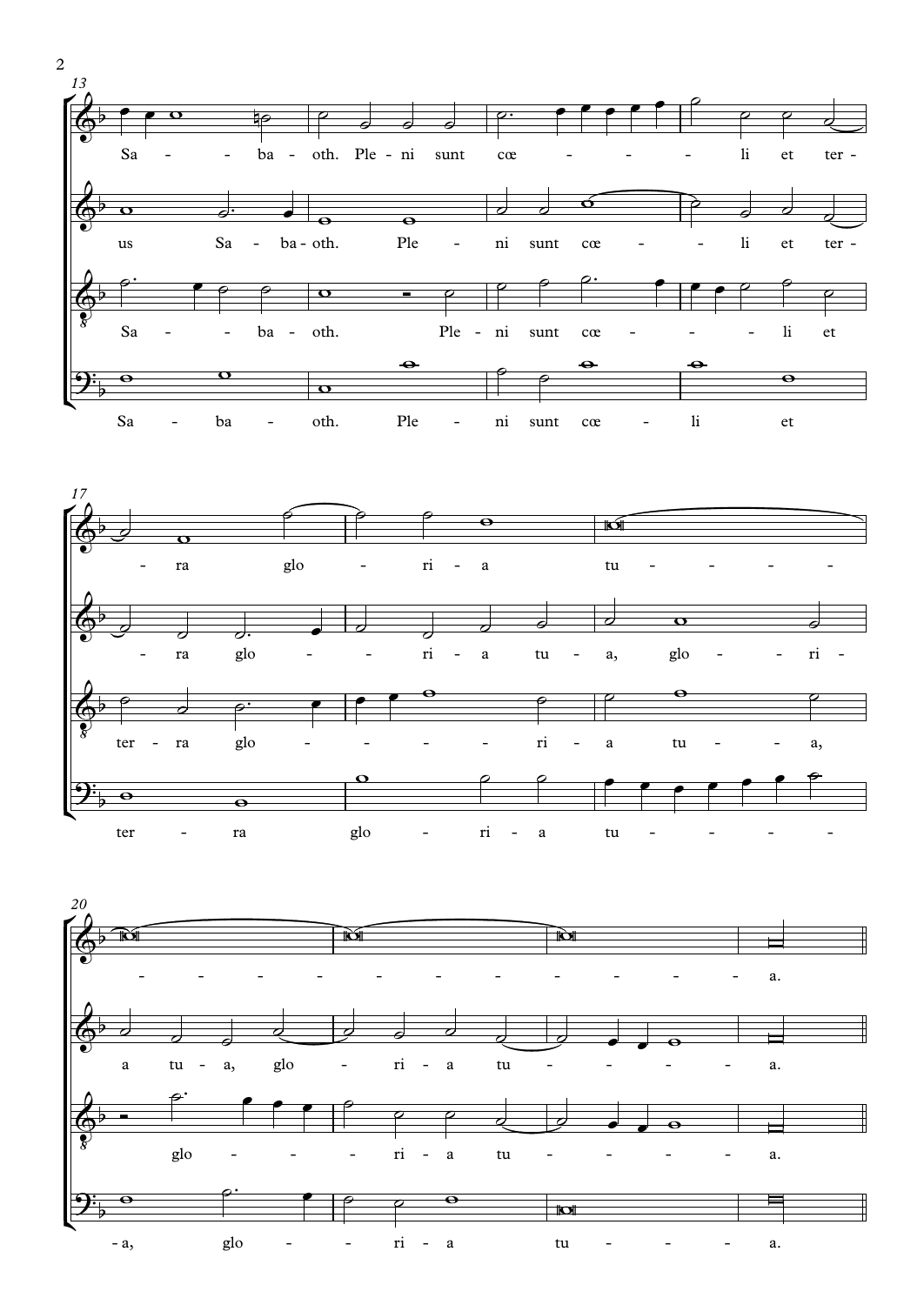



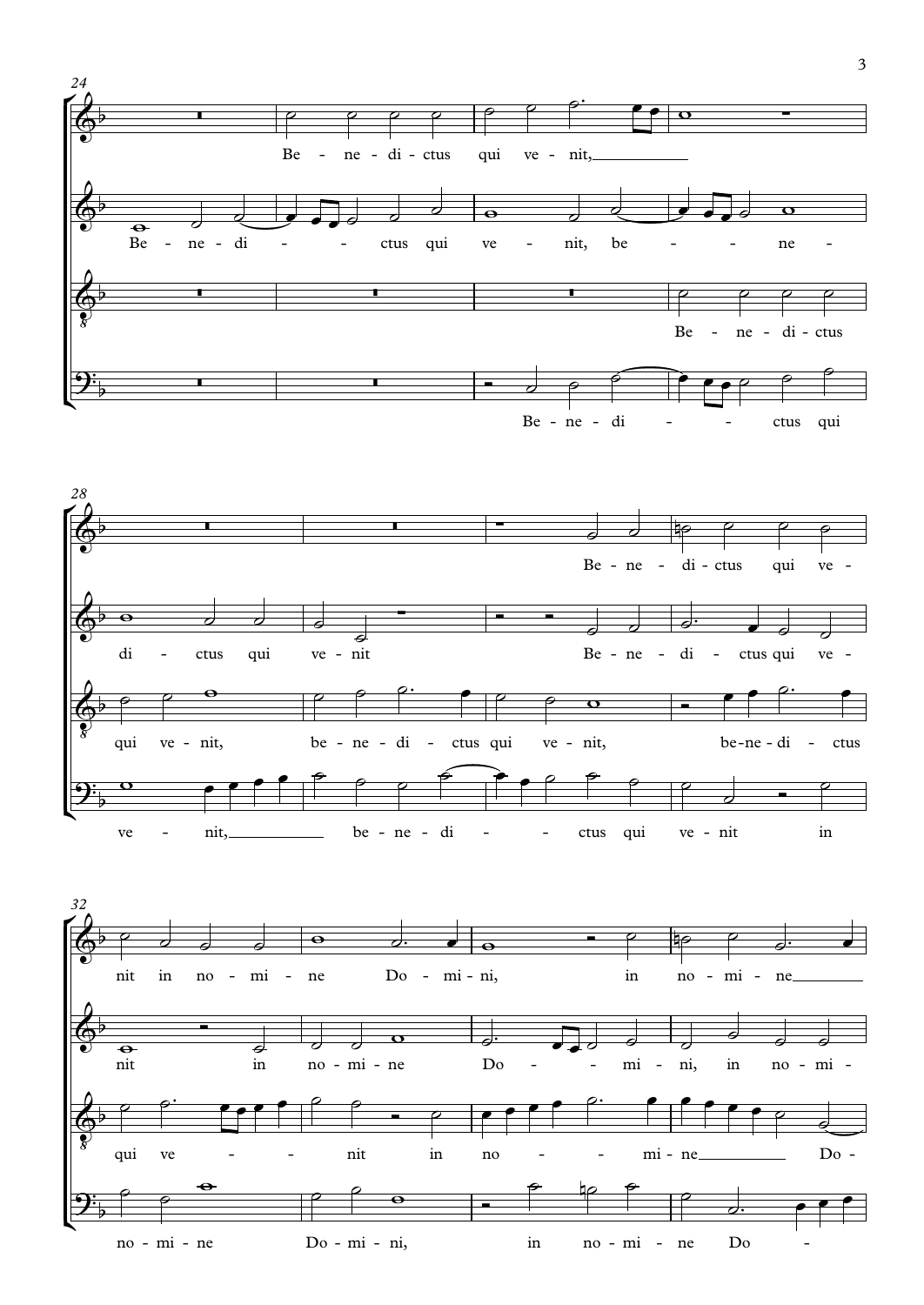

 $\overline{3}$